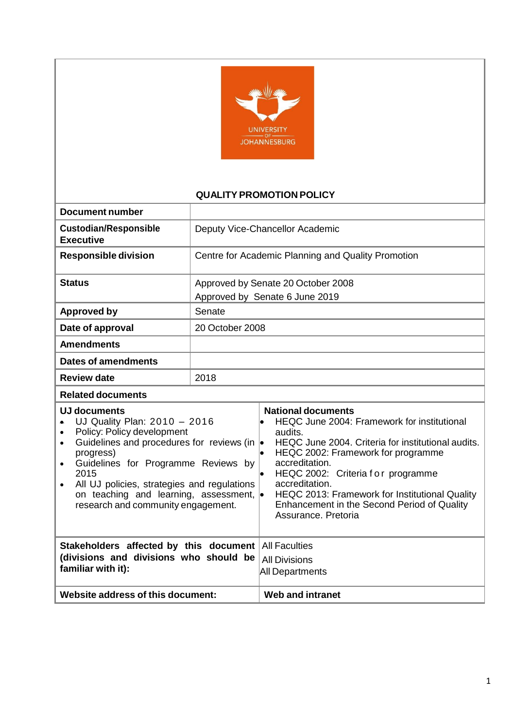

## **QUALITY PROMOTION POLICY**

| <b>Document number</b>                                                                                                                                                                                                                                                                                                                                                                              |                 |                                                                                                                                                                                                                                                                                                                                                                                                                         |  |  |
|-----------------------------------------------------------------------------------------------------------------------------------------------------------------------------------------------------------------------------------------------------------------------------------------------------------------------------------------------------------------------------------------------------|-----------------|-------------------------------------------------------------------------------------------------------------------------------------------------------------------------------------------------------------------------------------------------------------------------------------------------------------------------------------------------------------------------------------------------------------------------|--|--|
| <b>Custodian/Responsible</b><br><b>Executive</b>                                                                                                                                                                                                                                                                                                                                                    |                 | Deputy Vice-Chancellor Academic                                                                                                                                                                                                                                                                                                                                                                                         |  |  |
| <b>Responsible division</b>                                                                                                                                                                                                                                                                                                                                                                         |                 | Centre for Academic Planning and Quality Promotion                                                                                                                                                                                                                                                                                                                                                                      |  |  |
| <b>Status</b>                                                                                                                                                                                                                                                                                                                                                                                       |                 | Approved by Senate 20 October 2008<br>Approved by Senate 6 June 2019                                                                                                                                                                                                                                                                                                                                                    |  |  |
| <b>Approved by</b>                                                                                                                                                                                                                                                                                                                                                                                  | Senate          |                                                                                                                                                                                                                                                                                                                                                                                                                         |  |  |
| Date of approval                                                                                                                                                                                                                                                                                                                                                                                    | 20 October 2008 |                                                                                                                                                                                                                                                                                                                                                                                                                         |  |  |
| <b>Amendments</b>                                                                                                                                                                                                                                                                                                                                                                                   |                 |                                                                                                                                                                                                                                                                                                                                                                                                                         |  |  |
| <b>Dates of amendments</b>                                                                                                                                                                                                                                                                                                                                                                          |                 |                                                                                                                                                                                                                                                                                                                                                                                                                         |  |  |
| <b>Review date</b>                                                                                                                                                                                                                                                                                                                                                                                  | 2018            |                                                                                                                                                                                                                                                                                                                                                                                                                         |  |  |
| <b>Related documents</b>                                                                                                                                                                                                                                                                                                                                                                            |                 |                                                                                                                                                                                                                                                                                                                                                                                                                         |  |  |
| <b>UJ documents</b><br>UJ Quality Plan: 2010 - 2016<br>$\bullet$<br>Policy: Policy development<br>$\bullet$<br>Guidelines and procedures for reviews (in<br>$\bullet$<br>progress)<br>Guidelines for Programme Reviews by<br>$\bullet$<br>2015<br>All UJ policies, strategies and regulations<br>$\bullet$<br>on teaching and learning, assessment, $\bullet$<br>research and community engagement. |                 | <b>National documents</b><br>HEQC June 2004: Framework for institutional<br>$\bullet$<br>audits.<br>HEQC June 2004. Criteria for institutional audits.<br>$\bullet$<br>HEQC 2002: Framework for programme<br>le.<br>accreditation.<br>HEQC 2002: Criteria for programme<br>I.<br>accreditation.<br>HEQC 2013: Framework for Institutional Quality<br>Enhancement in the Second Period of Quality<br>Assurance, Pretoria |  |  |
| Stakeholders affected by this document<br>(divisions and divisions who should be<br>familiar with it):                                                                                                                                                                                                                                                                                              |                 | <b>All Faculties</b><br><b>All Divisions</b><br><b>All Departments</b>                                                                                                                                                                                                                                                                                                                                                  |  |  |
| Website address of this document:                                                                                                                                                                                                                                                                                                                                                                   |                 | <b>Web and intranet</b>                                                                                                                                                                                                                                                                                                                                                                                                 |  |  |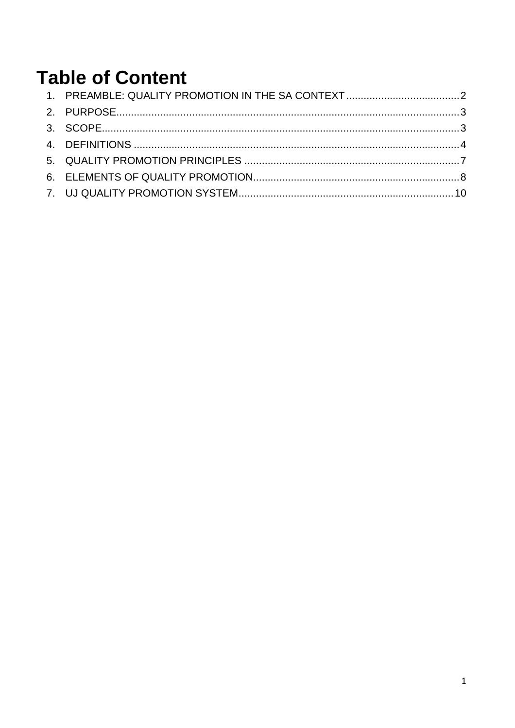# **Table of Content**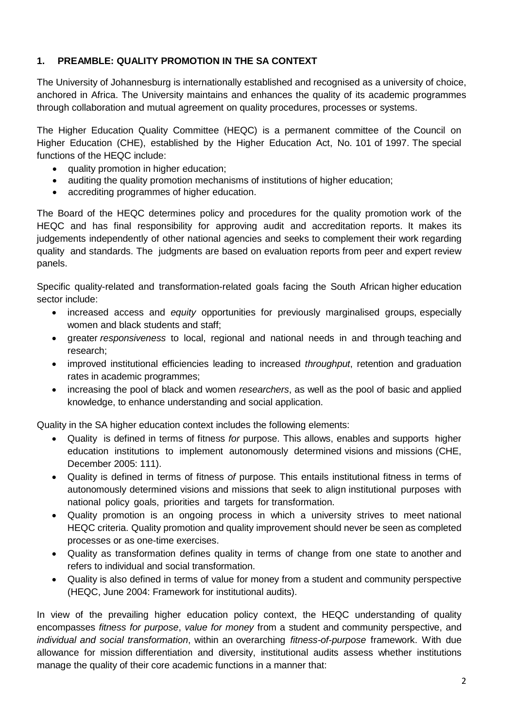# <span id="page-2-0"></span>**1. PREAMBLE: QUALITY PROMOTION IN THE SA CONTEXT**

The University of Johannesburg is internationally established and recognised as a university of choice, anchored in Africa. The University maintains and enhances the quality of its academic programmes through collaboration and mutual agreement on quality procedures, processes or systems.

The Higher Education Quality Committee (HEQC) is a permanent committee of the Council on Higher Education (CHE), established by the Higher Education Act, No. 101 of 1997. The special functions of the HEQC include:

- quality promotion in higher education;
- auditing the quality promotion mechanisms of institutions of higher education;
- accrediting programmes of higher education.

The Board of the HEQC determines policy and procedures for the quality promotion work of the HEQC and has final responsibility for approving audit and accreditation reports. It makes its judgements independently of other national agencies and seeks to complement their work regarding quality and standards. The judgments are based on evaluation reports from peer and expert review panels.

Specific quality-related and transformation-related goals facing the South African higher education sector include:

- increased access and *equity* opportunities for previously marginalised groups, especially women and black students and staff;
- greater *responsiveness* to local, regional and national needs in and through teaching and research;
- improved institutional efficiencies leading to increased *throughput*, retention and graduation rates in academic programmes;
- increasing the pool of black and women *researchers*, as well as the pool of basic and applied knowledge, to enhance understanding and social application.

Quality in the SA higher education context includes the following elements:

- Quality is defined in terms of fitness *for* purpose. This allows, enables and supports higher education institutions to implement autonomously determined visions and missions (CHE, December 2005: 111).
- Quality is defined in terms of fitness *of* purpose. This entails institutional fitness in terms of autonomously determined visions and missions that seek to align institutional purposes with national policy goals, priorities and targets for transformation.
- Quality promotion is an ongoing process in which a university strives to meet national HEQC criteria. Quality promotion and quality improvement should never be seen as completed processes or as one-time exercises.
- Quality as transformation defines quality in terms of change from one state to another and refers to individual and social transformation.
- Quality is also defined in terms of value for money from a student and community perspective (HEQC, June 2004: Framework for institutional audits).

In view of the prevailing higher education policy context, the HEQC understanding of quality encompasses *fitness for purpose*, *value for money* from a student and community perspective, and *individual and social transformation*, within an overarching *fitness-of-purpose* framework. With due allowance for mission differentiation and diversity, institutional audits assess whether institutions manage the quality of their core academic functions in a manner that: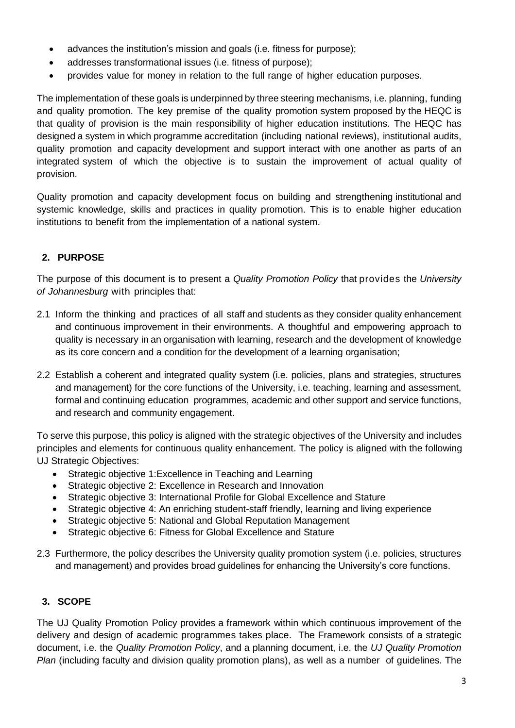- advances the institution's mission and goals (i.e. fitness for purpose);
- addresses transformational issues (i.e. fitness of purpose);
- provides value for money in relation to the full range of higher education purposes.

The implementation of these goals is underpinned by three steering mechanisms, i.e. planning, funding and quality promotion. The key premise of the quality promotion system proposed by the HEQC is that quality of provision is the main responsibility of higher education institutions. The HEQC has designed a system in which programme accreditation (including national reviews), institutional audits, quality promotion and capacity development and support interact with one another as parts of an integrated system of which the objective is to sustain the improvement of actual quality of provision.

Quality promotion and capacity development focus on building and strengthening institutional and systemic knowledge, skills and practices in quality promotion. This is to enable higher education institutions to benefit from the implementation of a national system.

# <span id="page-3-0"></span>**2. PURPOSE**

The purpose of this document is to present a *Quality Promotion Policy* that provides the *University of Johannesburg* with principles that:

- 2.1 Inform the thinking and practices of all staff and students as they consider quality enhancement and continuous improvement in their environments. A thoughtful and empowering approach to quality is necessary in an organisation with learning, research and the development of knowledge as its core concern and a condition for the development of a learning organisation;
- 2.2 Establish a coherent and integrated quality system (i.e. policies, plans and strategies, structures and management) for the core functions of the University, i.e. teaching, learning and assessment, formal and continuing education programmes, academic and other support and service functions, and research and community engagement.

To serve this purpose, this policy is aligned with the strategic objectives of the University and includes principles and elements for continuous quality enhancement. The policy is aligned with the following UJ Strategic Objectives:

- Strategic objective 1:Excellence in Teaching and Learning
- Strategic objective 2: Excellence in Research and Innovation
- Strategic objective 3: International Profile for Global Excellence and Stature
- Strategic objective 4: An enriching student-staff friendly, learning and living experience
- Strategic objective 5: National and Global Reputation Management
- Strategic objective 6: Fitness for Global Excellence and Stature
- 2.3 Furthermore, the policy describes the University quality promotion system (i.e. policies, structures and management) and provides broad guidelines for enhancing the University's core functions.

## <span id="page-3-1"></span>**3. SCOPE**

The UJ Quality Promotion Policy provides a framework within which continuous improvement of the delivery and design of academic programmes takes place. The Framework consists of a strategic document, i.e. the *Quality Promotion Policy*, and a planning document, i.e. the *UJ Quality Promotion Plan* (including faculty and division quality promotion plans), as well as a number of guidelines. The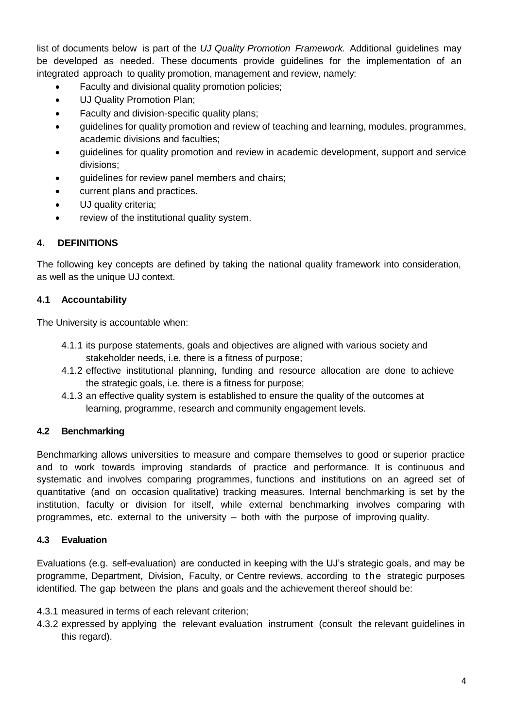list of documents below is part of the *UJ Quality Promotion Framework.* Additional guidelines may be developed as needed. These documents provide guidelines for the implementation of an integrated approach to quality promotion, management and review, namely:

- Faculty and divisional quality promotion policies;
- UJ Quality Promotion Plan;
- Faculty and division-specific quality plans;
- guidelines for quality promotion and review of teaching and learning, modules, programmes, academic divisions and faculties;
- guidelines for quality promotion and review in academic development, support and service divisions;
- guidelines for review panel members and chairs;
- current plans and practices.
- UJ quality criteria;
- review of the institutional quality system.

# <span id="page-4-0"></span>**4. DEFINITIONS**

The following key concepts are defined by taking the national quality framework into consideration, as well as the unique UJ context.

## **4.1 Accountability**

The University is accountable when:

- 4.1.1 its purpose statements, goals and objectives are aligned with various society and stakeholder needs, i.e. there is a fitness of purpose;
- 4.1.2 effective institutional planning, funding and resource allocation are done to achieve the strategic goals, i.e. there is a fitness for purpose;
- 4.1.3 an effective quality system is established to ensure the quality of the outcomes at learning, programme, research and community engagement levels.

## **4.2 Benchmarking**

Benchmarking allows universities to measure and compare themselves to good or superior practice and to work towards improving standards of practice and performance. It is continuous and systematic and involves comparing programmes, functions and institutions on an agreed set of quantitative (and on occasion qualitative) tracking measures. Internal benchmarking is set by the institution, faculty or division for itself, while external benchmarking involves comparing with programmes, etc. external to the university – both with the purpose of improving quality.

## **4.3 Evaluation**

Evaluations (e.g. self-evaluation) are conducted in keeping with the UJ's strategic goals, and may be programme, Department, Division, Faculty, or Centre reviews, according to the strategic purposes identified. The gap between the plans and goals and the achievement thereof should be:

- 4.3.1 measured in terms of each relevant criterion;
- 4.3.2 expressed by applying the relevant evaluation instrument (consult the relevant guidelines in this regard).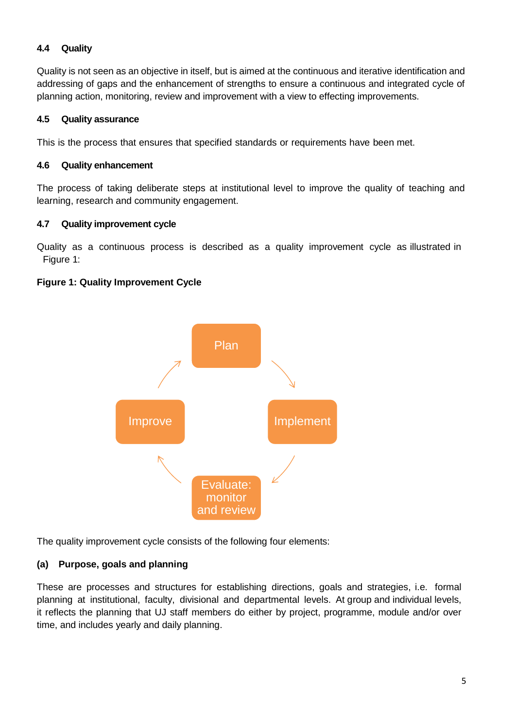## **4.4 Quality**

Quality is not seen as an objective in itself, but is aimed at the continuous and iterative identification and addressing of gaps and the enhancement of strengths to ensure a continuous and integrated cycle of planning action, monitoring, review and improvement with a view to effecting improvements.

## **4.5 Quality assurance**

This is the process that ensures that specified standards or requirements have been met.

## **4.6 Quality enhancement**

The process of taking deliberate steps at institutional level to improve the quality of teaching and learning, research and community engagement.

## **4.7 Quality improvement cycle**

Quality as a continuous process is described as a quality improvement cycle as illustrated in Figure 1:

## **Figure 1: Quality Improvement Cycle**



The quality improvement cycle consists of the following four elements:

## **(a) Purpose, goals and planning**

These are processes and structures for establishing directions, goals and strategies, i.e. formal planning at institutional, faculty, divisional and departmental levels. At group and individual levels, it reflects the planning that UJ staff members do either by project, programme, module and/or over time, and includes yearly and daily planning.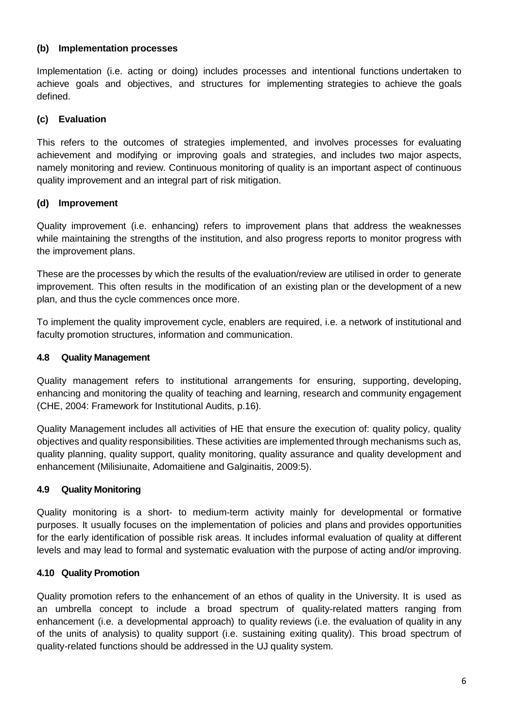#### **(b) Implementation processes**

Implementation (i.e. acting or doing) includes processes and intentional functions undertaken to achieve goals and objectives, and structures for implementing strategies to achieve the goals defined.

## **(c) Evaluation**

This refers to the outcomes of strategies implemented, and involves processes for evaluating achievement and modifying or improving goals and strategies, and includes two major aspects, namely monitoring and review. Continuous monitoring of quality is an important aspect of continuous quality improvement and an integral part of risk mitigation.

# **(d) Improvement**

Quality improvement (i.e. enhancing) refers to improvement plans that address the weaknesses while maintaining the strengths of the institution, and also progress reports to monitor progress with the improvement plans.

These are the processes by which the results of the evaluation/review are utilised in order to generate improvement. This often results in the modification of an existing plan or the development of a new plan, and thus the cycle commences once more.

To implement the quality improvement cycle, enablers are required, i.e. a network of institutional and faculty promotion structures, information and communication.

## **4.8 Quality Management**

Quality management refers to institutional arrangements for ensuring, supporting, developing, enhancing and monitoring the quality of teaching and learning, research and community engagement (CHE, 2004: Framework for Institutional Audits, p.16).

Quality Management includes all activities of HE that ensure the execution of: quality policy, quality objectives and quality responsibilities. These activities are implemented through mechanisms such as, quality planning, quality support, quality monitoring, quality assurance and quality development and enhancement (Milisiunaite, Adomaitiene and Galginaitis, 2009:5).

## **4.9 Quality Monitoring**

Quality monitoring is a short- to medium-term activity mainly for developmental or formative purposes. It usually focuses on the implementation of policies and plans and provides opportunities for the early identification of possible risk areas. It includes informal evaluation of quality at different levels and may lead to formal and systematic evaluation with the purpose of acting and/or improving.

## **4.10 Quality Promotion**

Quality promotion refers to the enhancement of an ethos of quality in the University. It is used as an umbrella concept to include a broad spectrum of quality-related matters ranging from enhancement (i.e. a developmental approach) to quality reviews (i.e. the evaluation of quality in any of the units of analysis) to quality support (i.e. sustaining exiting quality). This broad spectrum of quality-related functions should be addressed in the UJ quality system.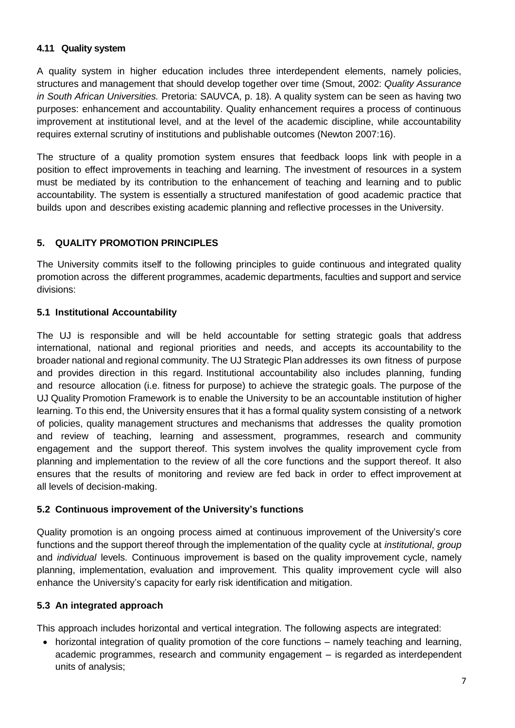#### **4.11 Quality system**

A quality system in higher education includes three interdependent elements, namely policies, structures and management that should develop together over time (Smout, 2002: *Quality Assurance in South African Universities.* Pretoria: SAUVCA, p. 18). A quality system can be seen as having two purposes: enhancement and accountability. Quality enhancement requires a process of continuous improvement at institutional level, and at the level of the academic discipline, while accountability requires external scrutiny of institutions and publishable outcomes (Newton 2007:16).

The structure of a quality promotion system ensures that feedback loops link with people in a position to effect improvements in teaching and learning. The investment of resources in a system must be mediated by its contribution to the enhancement of teaching and learning and to public accountability. The system is essentially a structured manifestation of good academic practice that builds upon and describes existing academic planning and reflective processes in the University.

# <span id="page-7-0"></span>**5. QUALITY PROMOTION PRINCIPLES**

The University commits itself to the following principles to guide continuous and integrated quality promotion across the different programmes, academic departments, faculties and support and service divisions:

## **5.1 Institutional Accountability**

The UJ is responsible and will be held accountable for setting strategic goals that address international, national and regional priorities and needs, and accepts its accountability to the broader national and regional community. The UJ Strategic Plan addresses its own fitness of purpose and provides direction in this regard. Institutional accountability also includes planning, funding and resource allocation (i.e. fitness for purpose) to achieve the strategic goals. The purpose of the UJ Quality Promotion Framework is to enable the University to be an accountable institution of higher learning. To this end, the University ensures that it has a formal quality system consisting of a network of policies, quality management structures and mechanisms that addresses the quality promotion and review of teaching, learning and assessment, programmes, research and community engagement and the support thereof. This system involves the quality improvement cycle from planning and implementation to the review of all the core functions and the support thereof. It also ensures that the results of monitoring and review are fed back in order to effect improvement at all levels of decision-making.

## **5.2 Continuous improvement of the University's functions**

Quality promotion is an ongoing process aimed at continuous improvement of the University's core functions and the support thereof through the implementation of the quality cycle at *institutional*, *group* and *individual* levels. Continuous improvement is based on the quality improvement cycle, namely planning, implementation, evaluation and improvement. This quality improvement cycle will also enhance the University's capacity for early risk identification and mitigation.

## **5.3 An integrated approach**

This approach includes horizontal and vertical integration. The following aspects are integrated:

• horizontal integration of quality promotion of the core functions – namely teaching and learning, academic programmes, research and community engagement – is regarded as interdependent units of analysis;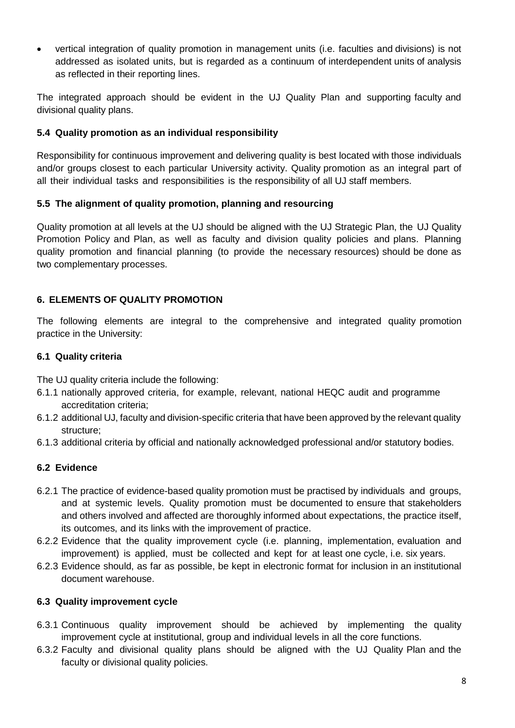vertical integration of quality promotion in management units (i.e. faculties and divisions) is not addressed as isolated units, but is regarded as a continuum of interdependent units of analysis as reflected in their reporting lines.

The integrated approach should be evident in the UJ Quality Plan and supporting faculty and divisional quality plans.

## **5.4 Quality promotion as an individual responsibility**

Responsibility for continuous improvement and delivering quality is best located with those individuals and/or groups closest to each particular University activity. Quality promotion as an integral part of all their individual tasks and responsibilities is the responsibility of all UJ staff members.

## **5.5 The alignment of quality promotion, planning and resourcing**

Quality promotion at all levels at the UJ should be aligned with the UJ Strategic Plan, the UJ Quality Promotion Policy and Plan, as well as faculty and division quality policies and plans. Planning quality promotion and financial planning (to provide the necessary resources) should be done as two complementary processes.

# <span id="page-8-0"></span>**6. ELEMENTS OF QUALITY PROMOTION**

The following elements are integral to the comprehensive and integrated quality promotion practice in the University:

## **6.1 Quality criteria**

The UJ quality criteria include the following:

- 6.1.1 nationally approved criteria, for example, relevant, national HEQC audit and programme accreditation criteria;
- 6.1.2 additional UJ, faculty and division-specific criteria that have been approved by the relevant quality structure;
- 6.1.3 additional criteria by official and nationally acknowledged professional and/or statutory bodies.

# **6.2 Evidence**

- 6.2.1 The practice of evidence-based quality promotion must be practised by individuals and groups, and at systemic levels. Quality promotion must be documented to ensure that stakeholders and others involved and affected are thoroughly informed about expectations, the practice itself, its outcomes, and its links with the improvement of practice.
- 6.2.2 Evidence that the quality improvement cycle (i.e. planning, implementation, evaluation and improvement) is applied, must be collected and kept for at least one cycle, i.e. six years.
- 6.2.3 Evidence should, as far as possible, be kept in electronic format for inclusion in an institutional document warehouse.

## **6.3 Quality improvement cycle**

- 6.3.1 Continuous quality improvement should be achieved by implementing the quality improvement cycle at institutional, group and individual levels in all the core functions.
- 6.3.2 Faculty and divisional quality plans should be aligned with the UJ Quality Plan and the faculty or divisional quality policies.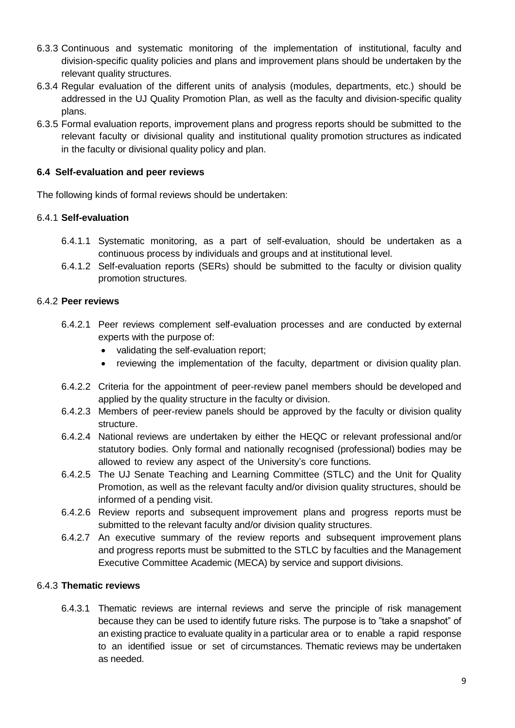- 6.3.3 Continuous and systematic monitoring of the implementation of institutional, faculty and division-specific quality policies and plans and improvement plans should be undertaken by the relevant quality structures.
- 6.3.4 Regular evaluation of the different units of analysis (modules, departments, etc.) should be addressed in the UJ Quality Promotion Plan, as well as the faculty and division-specific quality plans.
- 6.3.5 Formal evaluation reports, improvement plans and progress reports should be submitted to the relevant faculty or divisional quality and institutional quality promotion structures as indicated in the faculty or divisional quality policy and plan.

#### **6.4 Self-evaluation and peer reviews**

The following kinds of formal reviews should be undertaken:

#### 6.4.1 **Self-evaluation**

- 6.4.1.1 Systematic monitoring, as a part of self-evaluation, should be undertaken as a continuous process by individuals and groups and at institutional level.
- 6.4.1.2 Self-evaluation reports (SERs) should be submitted to the faculty or division quality promotion structures.

#### 6.4.2 **Peer reviews**

- 6.4.2.1 Peer reviews complement self-evaluation processes and are conducted by external experts with the purpose of:
	- validating the self-evaluation report;
	- reviewing the implementation of the faculty, department or division quality plan.
- 6.4.2.2 Criteria for the appointment of peer-review panel members should be developed and applied by the quality structure in the faculty or division.
- 6.4.2.3 Members of peer-review panels should be approved by the faculty or division quality structure.
- 6.4.2.4 National reviews are undertaken by either the HEQC or relevant professional and/or statutory bodies. Only formal and nationally recognised (professional) bodies may be allowed to review any aspect of the University's core functions.
- 6.4.2.5 The UJ Senate Teaching and Learning Committee (STLC) and the Unit for Quality Promotion, as well as the relevant faculty and/or division quality structures, should be informed of a pending visit.
- 6.4.2.6 Review reports and subsequent improvement plans and progress reports must be submitted to the relevant faculty and/or division quality structures.
- 6.4.2.7 An executive summary of the review reports and subsequent improvement plans and progress reports must be submitted to the STLC by faculties and the Management Executive Committee Academic (MECA) by service and support divisions.

#### 6.4.3 **Thematic reviews**

6.4.3.1 Thematic reviews are internal reviews and serve the principle of risk management because they can be used to identify future risks. The purpose is to "take a snapshot" of an existing practice to evaluate quality in a particular area or to enable a rapid response to an identified issue or set of circumstances. Thematic reviews may be undertaken as needed.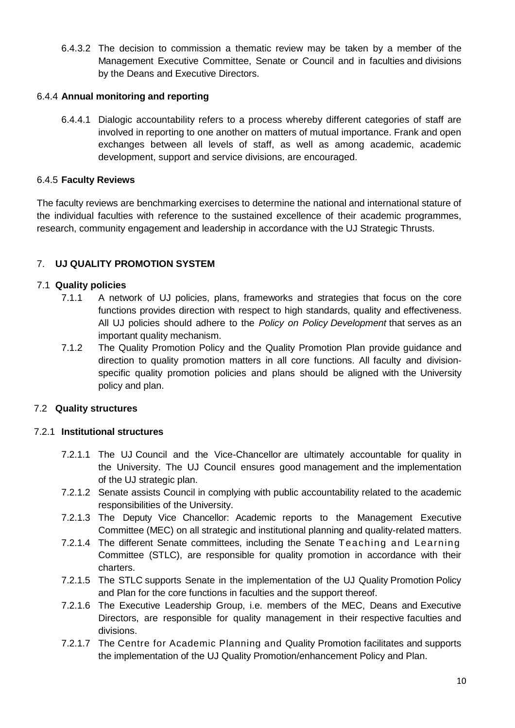6.4.3.2 The decision to commission a thematic review may be taken by a member of the Management Executive Committee, Senate or Council and in faculties and divisions by the Deans and Executive Directors.

#### 6.4.4 **Annual monitoring and reporting**

6.4.4.1 Dialogic accountability refers to a process whereby different categories of staff are involved in reporting to one another on matters of mutual importance. Frank and open exchanges between all levels of staff, as well as among academic, academic development, support and service divisions, are encouraged.

#### 6.4.5 **Faculty Reviews**

The faculty reviews are benchmarking exercises to determine the national and international stature of the individual faculties with reference to the sustained excellence of their academic programmes, research, community engagement and leadership in accordance with the UJ Strategic Thrusts.

## <span id="page-10-0"></span>7. **UJ QUALITY PROMOTION SYSTEM**

#### 7.1 **Quality policies**

- 7.1.1 A network of UJ policies, plans, frameworks and strategies that focus on the core functions provides direction with respect to high standards, quality and effectiveness. All UJ policies should adhere to the *Policy on Policy Development* that serves as an important quality mechanism.
- 7.1.2 The Quality Promotion Policy and the Quality Promotion Plan provide guidance and direction to quality promotion matters in all core functions. All faculty and divisionspecific quality promotion policies and plans should be aligned with the University policy and plan.

## 7.2 **Quality structures**

#### 7.2.1 **Institutional structures**

- 7.2.1.1 The UJ Council and the Vice-Chancellor are ultimately accountable for quality in the University. The UJ Council ensures good management and the implementation of the UJ strategic plan.
- 7.2.1.2 Senate assists Council in complying with public accountability related to the academic responsibilities of the University.
- 7.2.1.3 The Deputy Vice Chancellor: Academic reports to the Management Executive Committee (MEC) on all strategic and institutional planning and quality-related matters.
- 7.2.1.4 The different Senate committees, including the Senate Teaching and Learning Committee (STLC), are responsible for quality promotion in accordance with their charters.
- 7.2.1.5 The STLC supports Senate in the implementation of the UJ Quality Promotion Policy and Plan for the core functions in faculties and the support thereof.
- 7.2.1.6 The Executive Leadership Group, i.e. members of the MEC, Deans and Executive Directors, are responsible for quality management in their respective faculties and divisions.
- 7.2.1.7 The Centre for Academic Planning and Quality Promotion facilitates and supports the implementation of the UJ Quality Promotion/enhancement Policy and Plan.